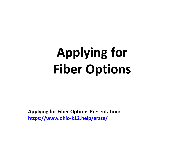# **Applying for Fiber Options**

**Applying for Fiber Options Presentation:** https://www.ohio-k12.help/erate/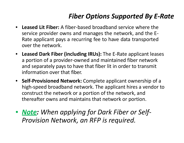## *Fiber Options Supported By E‐Rate*

- $\bullet$  **Leased Lit Fiber:** A fiber‐based broadband service where theservice provider owns and manages the network, and the E‐ Rate applicant pays <sup>a</sup> recurring fee to have data transported over the network.
- **Leased Dark Fiber (including IRUs):** The E‐Rate applicant leases a portion of <sup>a</sup> provider‐owned and maintained fiber network and separately pays to have that fiber lit in order to transmit information over that fiber.
- **Self‐Provisioned Network:** Complete applicant ownership of <sup>a</sup> high‐speed broadband network. The applicant hires <sup>a</sup> vendor to construct the network or <sup>a</sup> portion of the network, and thereafter owns and maintains that network or portion.
- *Note: When applying for Dark Fiber or Self‐ Provision Network, an RFP is required.*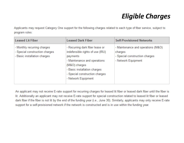## *Eligible Charges*

Applicants may request Category One support for the following charges related to each type of fiber service, subject to program rules:

| <b>Leased Lit Fiber</b>                                                                       | <b>Leased Dark Fiber</b>                                                                                                                                                                                                  | <b>Self-Provisioned Networks</b>                                                                       |
|-----------------------------------------------------------------------------------------------|---------------------------------------------------------------------------------------------------------------------------------------------------------------------------------------------------------------------------|--------------------------------------------------------------------------------------------------------|
| - Monthly recurring charges<br>- Special construction charges<br>- Basic installation charges | - Recurring dark fiber lease or<br>indefensible rights of use (IRU)<br>payments<br>- Maintenance and operations<br>(M&O) charges<br>- Basic installation charges<br>- Special construction charges<br>- Network Equipment | - Maintenance and operations (M&O)<br>charges<br>- Special construction charges<br>- Network Equipment |

An applicant may not receive E-rate support for recurring charges for leased lit fiber or leased dark fiber until the fiber is lit. Additionally an applicant may not receive E-rate support for special construction related to leased lit fiber or leased dark fiber if the fiber is not lit by the end of the funding year (i.e., June 30). Similarly, applicants may only receive E-rate support for a self-provisioned network if the network is constructed and is in use within the funding year.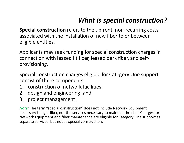## *What is special construction?*

**Special construction** refers to the upfront, non‐recurring costs associated with the installation of new fiber to or between eligible entities.

Applicants may seek funding for special construction charges in connection with leased lit fiber, leased dark fiber, and self‐ provisioning.

Special construction charges eligible for Category One support consist of three components:

- 1. construction of network facilities;
- 2. design and engineering; and
- 3. project management.

*Note:* The term "special construction" does not include Network Equipment necessary to light fiber, nor the services necessary to maintain the fiber. Charges for Network Equipment and fiber maintenance are eligible for Category One support as separate services, but not as special construction.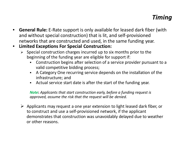### *Timing*

- $\bullet$  **General Rule:** E‐Rate support is only available for leased dark fiber (with and without special construction) that is lit, and self‐provisioned networks that are constructed and used, in the same funding year.
- $\bullet$  **Limited Exceptions For Special Construction:**
	- $\triangleright$  Special construction charges incurred up to six months prior to the beginning of the funding year are eligible for support if:
		- $\blacksquare$  Construction begins after selection of <sup>a</sup> service provider pursuant to <sup>a</sup> valid competitive bidding process;
		- $\blacksquare$  A Category One recurring service depends on the installation of the infrastructure; and
		- $\blacksquare$ Actual service start date is after the start of the funding year.

*Note***:** *Applicants that start construction early, before <sup>a</sup> funding request is approved, assume the risk that the request will be denied.*

 $\triangleright$  Applicants may request a one year extension to light leased dark fiber, or to construct and use <sup>a</sup> self‐provisioned network, if the applicant demonstrates that construction was unavoidably delayed due to weather or other reasons.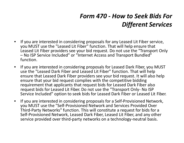## *Form 470 ‐ How to Seek Bids For Different Services*

- • If you are interested in considering proposals for any Leased Lit Fiber service, you MUST use the "Leased Lit Fiber" function. That will help ensure that Leased Lit Fiber providers see your bid request. Do not use the "Transport Only – No ISP Service Included" or "Internet Access and Transport Bundled" function.
- $\bullet$  If you are interested in considering proposals for Leased Dark Fiber, you MUST use the "Leased Dark Fiber and Leased Lit Fiber" function. That will help ensure that Leased Dark Fiber providers see your bid request. It will also help ensure that your bid request complies with the competitive bidding requirement that applicants that request bids for Leased Dark Fiber also request bids for Leased Lit Fiber. Do not use the "Transport Only‐ No ISP Service Included" option to seek bids for Leased Dark Fiber or Leased Lit Fiber.
- • If you are interested in considering proposals for <sup>a</sup> Self‐Provisioned Network, you MUST use the "Self‐Provisioned Network and Services Provided Over Third‐Party Networks" function. This will constitute <sup>a</sup> request for bids for <sup>a</sup> Self‐Provisioned Network, Leased Dark Fiber, Leased Lit Fiber, and any other service provided over third‐party networks on <sup>a</sup> technology‐neutral basis.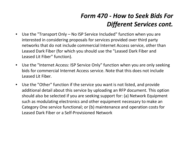## *Form 470 ‐ How to Seek Bids For Different Services cont.*

- $\bullet$  Use the "Transport Only – No ISP Service Included" function when you are interested in considering proposals for services provided over third party networks that do not include commercial Internet Access service, other than Leased Dark Fiber (for which you should use the "Leased Dark Fiber and Leased Lit Fiber" function).
- $\bullet$  Use the "Internet Access: ISP Service Only" function when you are only seeking bids for commercial Internet Access service. Note that this does not include Leased Lit Fiber.
- $\bullet$  Use the "Other" function if the service you want is not listed, and provide additional detail about this service by uploading an RFP document. This option should also be selected if you are seeking support for: (a) Network Equipment such as modulating electronics and other equipment necessary to make an Category One service functional; or (b) maintenance and operation costs for Leased Dark Fiber or <sup>a</sup> Self‐Provisioned Network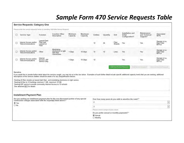#### *Sample Form 470 Service Requests Table*

|                                                                                              | <b>Service Requests: Category One</b>                                                                                                                                                                                                                                                                                                                                                                                                                                                                                                                                                        |                                                        |                                                                 |                                       |                                                                                 |          |          |                  |                                                         |                                          |                                                   |
|----------------------------------------------------------------------------------------------|----------------------------------------------------------------------------------------------------------------------------------------------------------------------------------------------------------------------------------------------------------------------------------------------------------------------------------------------------------------------------------------------------------------------------------------------------------------------------------------------------------------------------------------------------------------------------------------------|--------------------------------------------------------|-----------------------------------------------------------------|---------------------------------------|---------------------------------------------------------------------------------|----------|----------|------------------|---------------------------------------------------------|------------------------------------------|---------------------------------------------------|
|                                                                                              | Please enter the service requests below by selecting 'Add New Service Request.                                                                                                                                                                                                                                                                                                                                                                                                                                                                                                               |                                                        |                                                                 |                                       |                                                                                 |          |          |                  |                                                         |                                          |                                                   |
| □                                                                                            | Service Type                                                                                                                                                                                                                                                                                                                                                                                                                                                                                                                                                                                 | Function                                               | <b>Function Other</b><br>Description                            | Minimum<br>Capacity                   | Maximum<br>Capacity                                                             | Entities | Quantity | Unit             | Installation and<br>Initial<br>Configuration?           | Maintenance<br>and Technical<br>Support? | <b>Associated</b><br><b>RFPs</b>                  |
|                                                                                              | Internet Access and/or<br>Telecommunications                                                                                                                                                                                                                                                                                                                                                                                                                                                                                                                                                 | <b>Leased Dark</b><br>Fiber and<br>Leased Lit<br>Fiber |                                                                 |                                       |                                                                                 | 12       | 24       | Fiber<br>Strands | Yes                                                     | Yes                                      | Sample Lit vs.<br>Dark Fiber<br>RFP.v5            |
|                                                                                              | Internet Access and/or<br>Telecommunications                                                                                                                                                                                                                                                                                                                                                                                                                                                                                                                                                 | Other                                                  | Modulating<br>electronics to light<br>dark fiber<br>connections | 1 Gbps                                | 10 Gbps                                                                         | 12       | 12       | Lines            | Yes                                                     | Yes                                      | Sample Lit vs.<br>Dark Fiber<br>RFP <sub>v5</sub> |
|                                                                                              | Internet Access and/or<br>Telecommunications                                                                                                                                                                                                                                                                                                                                                                                                                                                                                                                                                 | Internet<br>Access: ISP<br>Service Only                |                                                                 | 1 Gbps                                | 10 Gbps                                                                         | 12       |          |                  | Yes                                                     | Yes                                      | Sample Lit vs.<br>Dark Fiber<br>RFP <sub>v5</sub> |
|                                                                                              | If you would like to provide further detail about the services sought, you may do so in this box below. Examples of such further detail include specific additional capacity levels that you are seeking, additional<br>descriptions of the services bidders should be aware of or any disqualification factors.<br>Seeking 24 fiber strands as leased dark fiber., and modulating electronics to light service.<br>Seeking lit fiber to 12 buildings minimum 1 GB, maximum 10 GB.<br>Seeking ISP service to provide commodity Internet Access to 12 schools<br>See attached RFP for details |                                                        |                                                                 |                                       |                                                                                 |          |          |                  |                                                         |                                          |                                                   |
|                                                                                              | <b>Installment Payment Plan</b>                                                                                                                                                                                                                                                                                                                                                                                                                                                                                                                                                              |                                                        |                                                                 |                                       |                                                                                 |          |          |                  |                                                         |                                          |                                                   |
|                                                                                              | Are you seeking an installment payment plan for the non-discounted portion of any special                                                                                                                                                                                                                                                                                                                                                                                                                                                                                                    |                                                        |                                                                 |                                       |                                                                                 |          |          |                  | Over how many years do you wish to amortize the costs?* |                                          |                                                   |
| construction charges associated with the request(s) listed above?"<br>O Yes<br>$\bigcirc$ No |                                                                                                                                                                                                                                                                                                                                                                                                                                                                                                                                                                                              |                                                        |                                                                 | $\backsim$<br>$\overline{\mathbf{2}}$ |                                                                                 |          |          |                  |                                                         |                                          |                                                   |
|                                                                                              |                                                                                                                                                                                                                                                                                                                                                                                                                                                                                                                                                                                              |                                                        |                                                                 | $\check{ }$<br>$\sqrt{3}$             |                                                                                 |          |          |                  |                                                         |                                          |                                                   |
|                                                                                              |                                                                                                                                                                                                                                                                                                                                                                                                                                                                                                                                                                                              |                                                        |                                                                 |                                       | Please select a range of years above.                                           |          |          |                  |                                                         |                                          |                                                   |
|                                                                                              |                                                                                                                                                                                                                                                                                                                                                                                                                                                                                                                                                                                              |                                                        |                                                                 |                                       | Do you prefer annual or monthly payments? <sup>3</sup><br>C Annual<br>O Monthly |          |          |                  |                                                         |                                          |                                                   |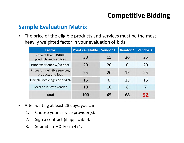## **Competitive Bidding**

#### **Sample Evaluation Matrix**

 $\bullet$  The price of the eligible products and services must be the most heavily weighted factor in your evaluation of bids.

| <b>Factor</b>                                         | <b>Points Available</b> | Vendor 1 | Vendor 2 | <b>Vendor 3</b> |
|-------------------------------------------------------|-------------------------|----------|----------|-----------------|
| <b>Price of the ELIGIBLE</b><br>products and services | 30                      | 15       | 30       | 25              |
| Prior experience w/ vendor                            | 20                      | 20       | 0        | 20              |
| Prices for ineligible services,<br>products and fees  | 25                      | 20       | 15       | 25              |
| Flexible Invoicing: 472 or 474                        | 15                      | O        | 15       | 15              |
| Local or in-state vendor                              | 10                      | 10       | 8        |                 |
| <b>Total</b>                                          | 100                     | 65       | 68       | 92              |

- $\bullet$  After waiting at least 28 days, you can:
	- 1. Choose your service provider(s).
	- 2. Sign a contract (if applicable).
	- 3. Submit an FCC Form 471.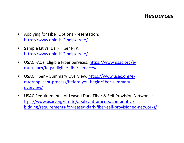#### *Resources*

- $\bullet$  Applying for Fiber Options Presentation: https://www.ohio‐k12.help/erate/
- $\bullet$  Sample Lit vs. Dark Fiber RFP: https://www.ohio‐k12.help/erate/
- $\bullet$ ● USAC FAQs: Eligible Fiber Services: <u>https://www.usac.org/e-</u> rate/learn/faqs/eligible‐fiber‐services/
- $\bullet$ ● USAC Fiber – Summary Overview: https://www.usac.org/erate/applicant‐process/before‐you‐begin/fiber‐summary‐ overview/
- $\bullet$  USAC Requirements for Leased Dark Fiber & Self Provision Networks: ttps://www.usac.org/e‐rate/applicant‐process/competitive‐ bidding/requirements‐for‐leased‐dark‐fiber‐self‐provisioned‐networks/